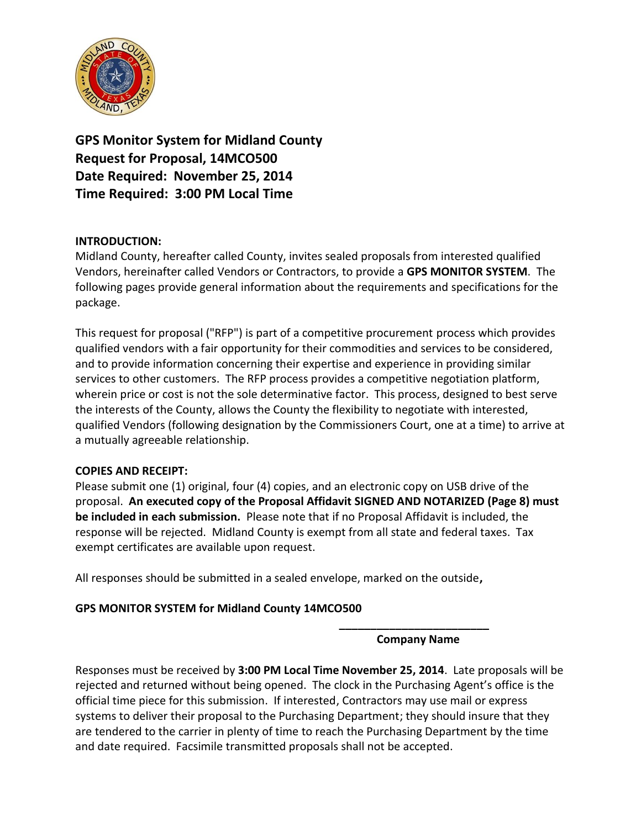

**GPS Monitor System for Midland County Request for Proposal, 14MCO500 Date Required: November 25, 2014 Time Required: 3:00 PM Local Time**

### **INTRODUCTION:**

Midland County, hereafter called County, invites sealed proposals from interested qualified Vendors, hereinafter called Vendors or Contractors, to provide a **GPS MONITOR SYSTEM**. The following pages provide general information about the requirements and specifications for the package.

This request for proposal ("RFP") is part of a competitive procurement process which provides qualified vendors with a fair opportunity for their commodities and services to be considered, and to provide information concerning their expertise and experience in providing similar services to other customers. The RFP process provides a competitive negotiation platform, wherein price or cost is not the sole determinative factor. This process, designed to best serve the interests of the County, allows the County the flexibility to negotiate with interested, qualified Vendors (following designation by the Commissioners Court, one at a time) to arrive at a mutually agreeable relationship.

### **COPIES AND RECEIPT:**

Please submit one (1) original, four (4) copies, and an electronic copy on USB drive of the proposal. **An executed copy of the Proposal Affidavit SIGNED AND NOTARIZED (Page 8) must be included in each submission.** Please note that if no Proposal Affidavit is included, the response will be rejected. Midland County is exempt from all state and federal taxes. Tax exempt certificates are available upon request.

All responses should be submitted in a sealed envelope, marked on the outside**,** 

# **GPS MONITOR SYSTEM for Midland County 14MCO500**

**\_\_\_\_\_\_\_\_\_\_\_\_\_\_\_\_\_\_\_\_\_\_\_\_ Company Name**

Responses must be received by **3:00 PM Local Time November 25, 2014**. Late proposals will be rejected and returned without being opened. The clock in the Purchasing Agent's office is the official time piece for this submission. If interested, Contractors may use mail or express systems to deliver their proposal to the Purchasing Department; they should insure that they are tendered to the carrier in plenty of time to reach the Purchasing Department by the time and date required. Facsimile transmitted proposals shall not be accepted.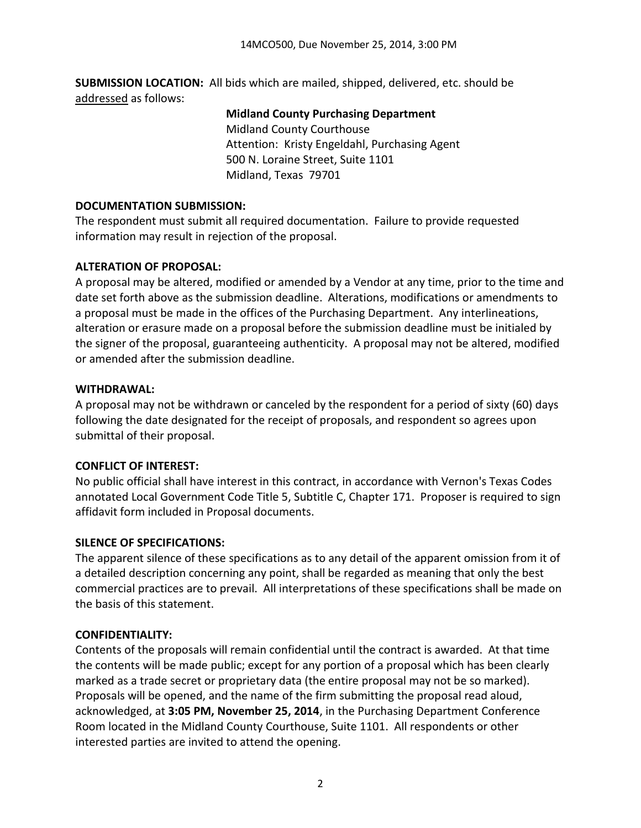**SUBMISSION LOCATION:** All bids which are mailed, shipped, delivered, etc. should be addressed as follows:

#### **Midland County Purchasing Department**

Midland County Courthouse Attention: Kristy Engeldahl, Purchasing Agent 500 N. Loraine Street, Suite 1101 Midland, Texas 79701

#### **DOCUMENTATION SUBMISSION:**

The respondent must submit all required documentation. Failure to provide requested information may result in rejection of the proposal.

### **ALTERATION OF PROPOSAL:**

A proposal may be altered, modified or amended by a Vendor at any time, prior to the time and date set forth above as the submission deadline. Alterations, modifications or amendments to a proposal must be made in the offices of the Purchasing Department. Any interlineations, alteration or erasure made on a proposal before the submission deadline must be initialed by the signer of the proposal, guaranteeing authenticity. A proposal may not be altered, modified or amended after the submission deadline.

### **WITHDRAWAL:**

A proposal may not be withdrawn or canceled by the respondent for a period of sixty (60) days following the date designated for the receipt of proposals, and respondent so agrees upon submittal of their proposal.

### **CONFLICT OF INTEREST:**

No public official shall have interest in this contract, in accordance with Vernon's Texas Codes annotated Local Government Code Title 5, Subtitle C, Chapter 171. Proposer is required to sign affidavit form included in Proposal documents.

### **SILENCE OF SPECIFICATIONS:**

The apparent silence of these specifications as to any detail of the apparent omission from it of a detailed description concerning any point, shall be regarded as meaning that only the best commercial practices are to prevail. All interpretations of these specifications shall be made on the basis of this statement.

### **CONFIDENTIALITY:**

Contents of the proposals will remain confidential until the contract is awarded. At that time the contents will be made public; except for any portion of a proposal which has been clearly marked as a trade secret or proprietary data (the entire proposal may not be so marked). Proposals will be opened, and the name of the firm submitting the proposal read aloud, acknowledged, at **3:05 PM, November 25, 2014**, in the Purchasing Department Conference Room located in the Midland County Courthouse, Suite 1101. All respondents or other interested parties are invited to attend the opening.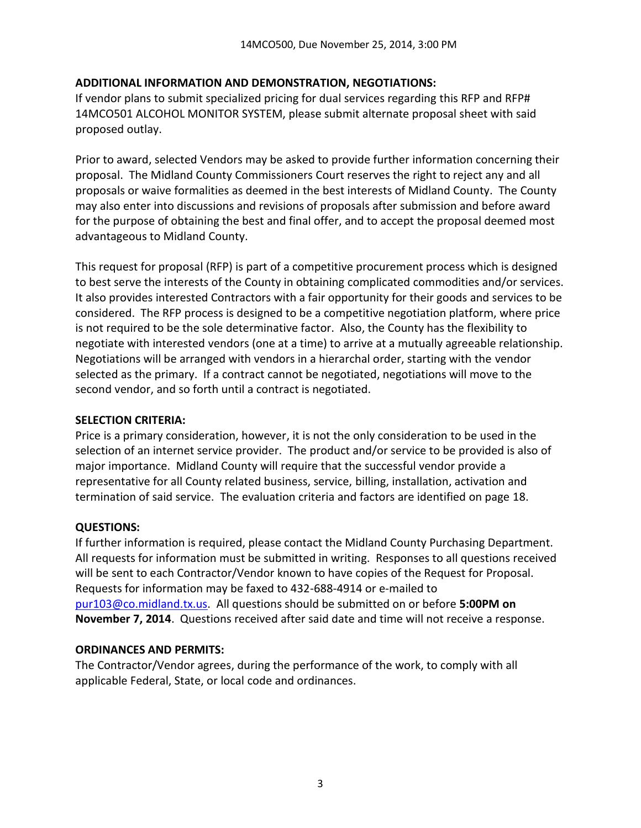### **ADDITIONAL INFORMATION AND DEMONSTRATION, NEGOTIATIONS:**

If vendor plans to submit specialized pricing for dual services regarding this RFP and RFP# 14MCO501 ALCOHOL MONITOR SYSTEM, please submit alternate proposal sheet with said proposed outlay.

Prior to award, selected Vendors may be asked to provide further information concerning their proposal. The Midland County Commissioners Court reserves the right to reject any and all proposals or waive formalities as deemed in the best interests of Midland County. The County may also enter into discussions and revisions of proposals after submission and before award for the purpose of obtaining the best and final offer, and to accept the proposal deemed most advantageous to Midland County.

This request for proposal (RFP) is part of a competitive procurement process which is designed to best serve the interests of the County in obtaining complicated commodities and/or services. It also provides interested Contractors with a fair opportunity for their goods and services to be considered. The RFP process is designed to be a competitive negotiation platform, where price is not required to be the sole determinative factor. Also, the County has the flexibility to negotiate with interested vendors (one at a time) to arrive at a mutually agreeable relationship. Negotiations will be arranged with vendors in a hierarchal order, starting with the vendor selected as the primary. If a contract cannot be negotiated, negotiations will move to the second vendor, and so forth until a contract is negotiated.

#### **SELECTION CRITERIA:**

Price is a primary consideration, however, it is not the only consideration to be used in the selection of an internet service provider. The product and/or service to be provided is also of major importance. Midland County will require that the successful vendor provide a representative for all County related business, service, billing, installation, activation and termination of said service. The evaluation criteria and factors are identified on page 18.

#### **QUESTIONS:**

If further information is required, please contact the Midland County Purchasing Department. All requests for information must be submitted in writing. Responses to all questions received will be sent to each Contractor/Vendor known to have copies of the Request for Proposal. Requests for information may be faxed to 432-688-4914 or e-mailed to [pur103@co.midland.tx.us.](mailto:pur103@co.midland.tx.us) All questions should be submitted on or before **5:00PM on November 7, 2014**. Questions received after said date and time will not receive a response.

#### **ORDINANCES AND PERMITS:**

The Contractor/Vendor agrees, during the performance of the work, to comply with all applicable Federal, State, or local code and ordinances.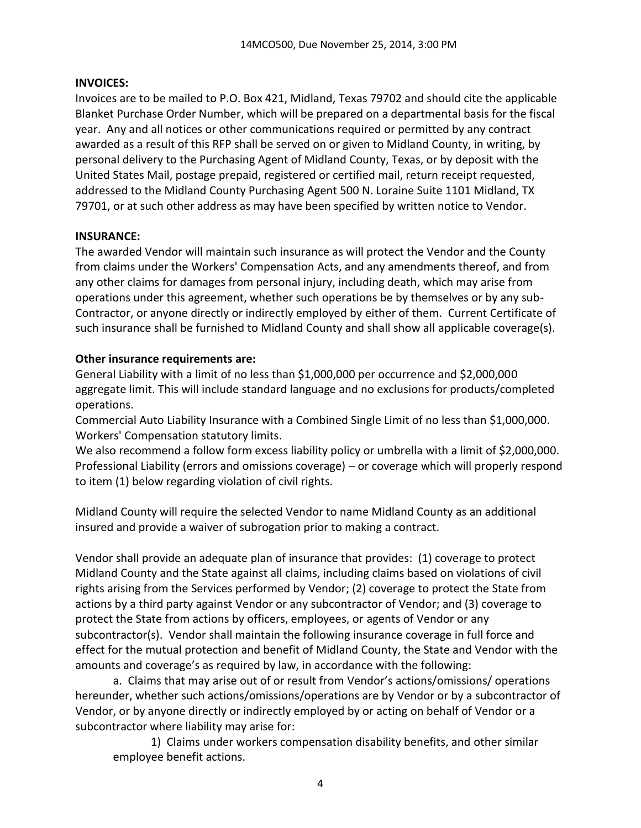#### **INVOICES:**

Invoices are to be mailed to P.O. Box 421, Midland, Texas 79702 and should cite the applicable Blanket Purchase Order Number, which will be prepared on a departmental basis for the fiscal year. Any and all notices or other communications required or permitted by any contract awarded as a result of this RFP shall be served on or given to Midland County, in writing, by personal delivery to the Purchasing Agent of Midland County, Texas, or by deposit with the United States Mail, postage prepaid, registered or certified mail, return receipt requested, addressed to the Midland County Purchasing Agent 500 N. Loraine Suite 1101 Midland, TX 79701, or at such other address as may have been specified by written notice to Vendor.

#### **INSURANCE:**

The awarded Vendor will maintain such insurance as will protect the Vendor and the County from claims under the Workers' Compensation Acts, and any amendments thereof, and from any other claims for damages from personal injury, including death, which may arise from operations under this agreement, whether such operations be by themselves or by any sub-Contractor, or anyone directly or indirectly employed by either of them. Current Certificate of such insurance shall be furnished to Midland County and shall show all applicable coverage(s).

### **Other insurance requirements are:**

General Liability with a limit of no less than \$1,000,000 per occurrence and \$2,000,000 aggregate limit. This will include standard language and no exclusions for products/completed operations.

Commercial Auto Liability Insurance with a Combined Single Limit of no less than \$1,000,000. Workers' Compensation statutory limits.

We also recommend a follow form excess liability policy or umbrella with a limit of \$2,000,000. Professional Liability (errors and omissions coverage) – or coverage which will properly respond to item (1) below regarding violation of civil rights.

Midland County will require the selected Vendor to name Midland County as an additional insured and provide a waiver of subrogation prior to making a contract.

Vendor shall provide an adequate plan of insurance that provides: (1) coverage to protect Midland County and the State against all claims, including claims based on violations of civil rights arising from the Services performed by Vendor; (2) coverage to protect the State from actions by a third party against Vendor or any subcontractor of Vendor; and (3) coverage to protect the State from actions by officers, employees, or agents of Vendor or any subcontractor(s). Vendor shall maintain the following insurance coverage in full force and effect for the mutual protection and benefit of Midland County, the State and Vendor with the amounts and coverage's as required by law, in accordance with the following:

a. Claims that may arise out of or result from Vendor's actions/omissions/ operations hereunder, whether such actions/omissions/operations are by Vendor or by a subcontractor of Vendor, or by anyone directly or indirectly employed by or acting on behalf of Vendor or a subcontractor where liability may arise for:

1) Claims under workers compensation disability benefits, and other similar employee benefit actions.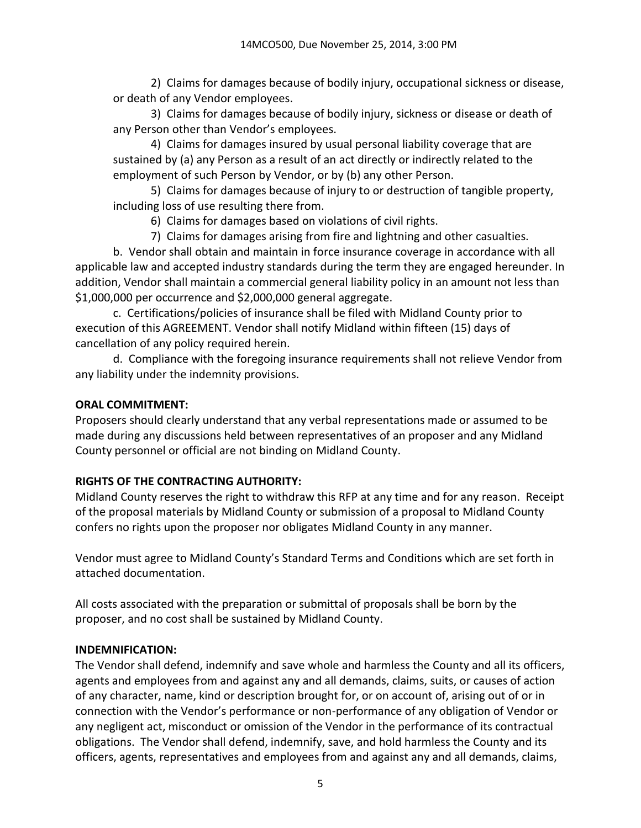2) Claims for damages because of bodily injury, occupational sickness or disease, or death of any Vendor employees.

3) Claims for damages because of bodily injury, sickness or disease or death of any Person other than Vendor's employees.

4) Claims for damages insured by usual personal liability coverage that are sustained by (a) any Person as a result of an act directly or indirectly related to the employment of such Person by Vendor, or by (b) any other Person.

5) Claims for damages because of injury to or destruction of tangible property, including loss of use resulting there from.

6) Claims for damages based on violations of civil rights.

7) Claims for damages arising from fire and lightning and other casualties.

b. Vendor shall obtain and maintain in force insurance coverage in accordance with all applicable law and accepted industry standards during the term they are engaged hereunder. In addition, Vendor shall maintain a commercial general liability policy in an amount not less than \$1,000,000 per occurrence and \$2,000,000 general aggregate.

c. Certifications/policies of insurance shall be filed with Midland County prior to execution of this AGREEMENT. Vendor shall notify Midland within fifteen (15) days of cancellation of any policy required herein.

d. Compliance with the foregoing insurance requirements shall not relieve Vendor from any liability under the indemnity provisions.

## **ORAL COMMITMENT:**

Proposers should clearly understand that any verbal representations made or assumed to be made during any discussions held between representatives of an proposer and any Midland County personnel or official are not binding on Midland County.

# **RIGHTS OF THE CONTRACTING AUTHORITY:**

Midland County reserves the right to withdraw this RFP at any time and for any reason. Receipt of the proposal materials by Midland County or submission of a proposal to Midland County confers no rights upon the proposer nor obligates Midland County in any manner.

Vendor must agree to Midland County's Standard Terms and Conditions which are set forth in attached documentation.

All costs associated with the preparation or submittal of proposals shall be born by the proposer, and no cost shall be sustained by Midland County.

### **INDEMNIFICATION:**

The Vendor shall defend, indemnify and save whole and harmless the County and all its officers, agents and employees from and against any and all demands, claims, suits, or causes of action of any character, name, kind or description brought for, or on account of, arising out of or in connection with the Vendor's performance or non-performance of any obligation of Vendor or any negligent act, misconduct or omission of the Vendor in the performance of its contractual obligations. The Vendor shall defend, indemnify, save, and hold harmless the County and its officers, agents, representatives and employees from and against any and all demands, claims,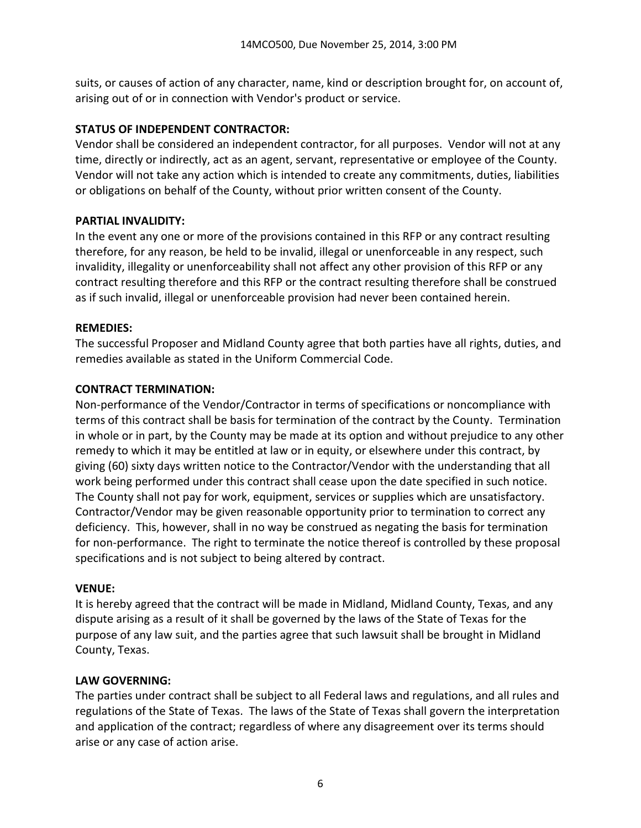suits, or causes of action of any character, name, kind or description brought for, on account of, arising out of or in connection with Vendor's product or service.

### **STATUS OF INDEPENDENT CONTRACTOR:**

Vendor shall be considered an independent contractor, for all purposes. Vendor will not at any time, directly or indirectly, act as an agent, servant, representative or employee of the County. Vendor will not take any action which is intended to create any commitments, duties, liabilities or obligations on behalf of the County, without prior written consent of the County.

## **PARTIAL INVALIDITY:**

In the event any one or more of the provisions contained in this RFP or any contract resulting therefore, for any reason, be held to be invalid, illegal or unenforceable in any respect, such invalidity, illegality or unenforceability shall not affect any other provision of this RFP or any contract resulting therefore and this RFP or the contract resulting therefore shall be construed as if such invalid, illegal or unenforceable provision had never been contained herein.

## **REMEDIES:**

The successful Proposer and Midland County agree that both parties have all rights, duties, and remedies available as stated in the Uniform Commercial Code.

## **CONTRACT TERMINATION:**

Non-performance of the Vendor/Contractor in terms of specifications or noncompliance with terms of this contract shall be basis for termination of the contract by the County. Termination in whole or in part, by the County may be made at its option and without prejudice to any other remedy to which it may be entitled at law or in equity, or elsewhere under this contract, by giving (60) sixty days written notice to the Contractor/Vendor with the understanding that all work being performed under this contract shall cease upon the date specified in such notice. The County shall not pay for work, equipment, services or supplies which are unsatisfactory. Contractor/Vendor may be given reasonable opportunity prior to termination to correct any deficiency. This, however, shall in no way be construed as negating the basis for termination for non-performance. The right to terminate the notice thereof is controlled by these proposal specifications and is not subject to being altered by contract.

### **VENUE:**

It is hereby agreed that the contract will be made in Midland, Midland County, Texas, and any dispute arising as a result of it shall be governed by the laws of the State of Texas for the purpose of any law suit, and the parties agree that such lawsuit shall be brought in Midland County, Texas.

### **LAW GOVERNING:**

The parties under contract shall be subject to all Federal laws and regulations, and all rules and regulations of the State of Texas. The laws of the State of Texas shall govern the interpretation and application of the contract; regardless of where any disagreement over its terms should arise or any case of action arise.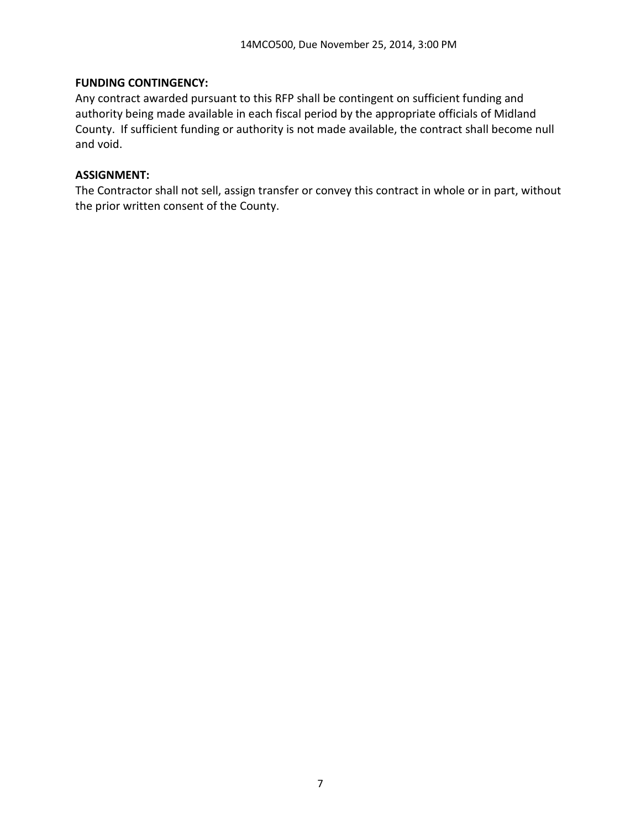### **FUNDING CONTINGENCY:**

Any contract awarded pursuant to this RFP shall be contingent on sufficient funding and authority being made available in each fiscal period by the appropriate officials of Midland County. If sufficient funding or authority is not made available, the contract shall become null and void.

### **ASSIGNMENT:**

The Contractor shall not sell, assign transfer or convey this contract in whole or in part, without the prior written consent of the County.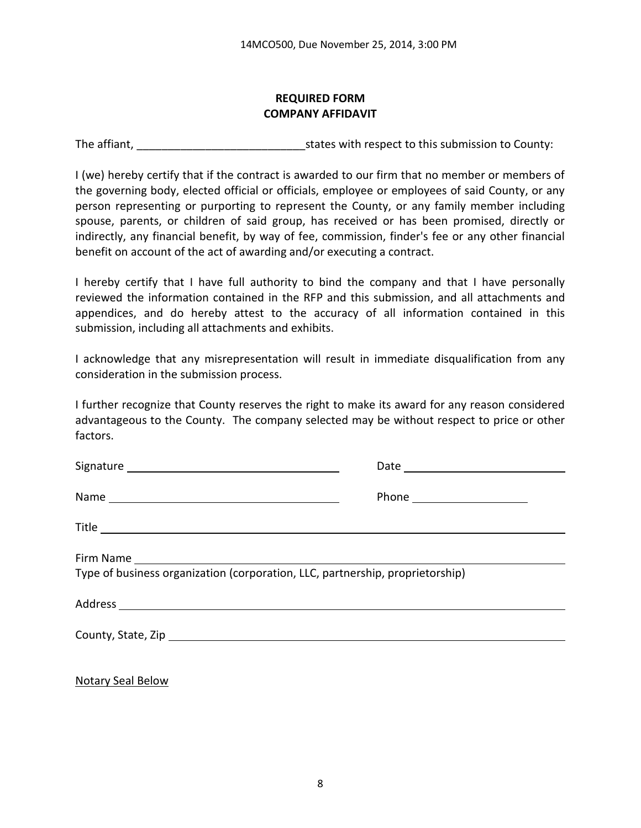#### **REQUIRED FORM COMPANY AFFIDAVIT**

The affiant, The affiant,  $\frac{1}{2}$  is tates with respect to this submission to County:

I (we) hereby certify that if the contract is awarded to our firm that no member or members of the governing body, elected official or officials, employee or employees of said County, or any person representing or purporting to represent the County, or any family member including spouse, parents, or children of said group, has received or has been promised, directly or indirectly, any financial benefit, by way of fee, commission, finder's fee or any other financial benefit on account of the act of awarding and/or executing a contract.

I hereby certify that I have full authority to bind the company and that I have personally reviewed the information contained in the RFP and this submission, and all attachments and appendices, and do hereby attest to the accuracy of all information contained in this submission, including all attachments and exhibits.

I acknowledge that any misrepresentation will result in immediate disqualification from any consideration in the submission process.

I further recognize that County reserves the right to make its award for any reason considered advantageous to the County. The company selected may be without respect to price or other factors.

| Type of business organization (corporation, LLC, partnership, proprietorship) |  |  |
|-------------------------------------------------------------------------------|--|--|
|                                                                               |  |  |
|                                                                               |  |  |
|                                                                               |  |  |

Notary Seal Below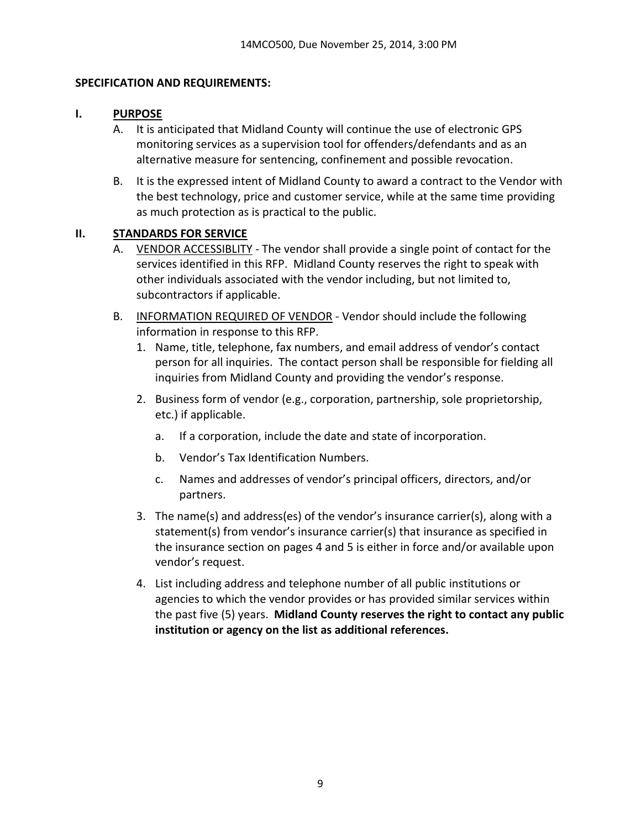### **SPECIFICATION AND REQUIREMENTS:**

### **I. PURPOSE**

- A. It is anticipated that Midland County will continue the use of electronic GPS monitoring services as a supervision tool for offenders/defendants and as an alternative measure for sentencing, confinement and possible revocation.
- B. It is the expressed intent of Midland County to award a contract to the Vendor with the best technology, price and customer service, while at the same time providing as much protection as is practical to the public.

### **II. STANDARDS FOR SERVICE**

- A. VENDOR ACCESSIBLITY The vendor shall provide a single point of contact for the services identified in this RFP. Midland County reserves the right to speak with other individuals associated with the vendor including, but not limited to, subcontractors if applicable.
- B. INFORMATION REQUIRED OF VENDOR Vendor should include the following information in response to this RFP.
	- 1. Name, title, telephone, fax numbers, and email address of vendor's contact person for all inquiries. The contact person shall be responsible for fielding all inquiries from Midland County and providing the vendor's response.
	- 2. Business form of vendor (e.g., corporation, partnership, sole proprietorship, etc.) if applicable.
		- a. If a corporation, include the date and state of incorporation.
		- b. Vendor's Tax Identification Numbers.
		- c. Names and addresses of vendor's principal officers, directors, and/or partners.
	- 3. The name(s) and address(es) of the vendor's insurance carrier(s), along with a statement(s) from vendor's insurance carrier(s) that insurance as specified in the insurance section on pages 4 and 5 is either in force and/or available upon vendor's request.
	- 4. List including address and telephone number of all public institutions or agencies to which the vendor provides or has provided similar services within the past five (5) years. **Midland County reserves the right to contact any public institution or agency on the list as additional references.**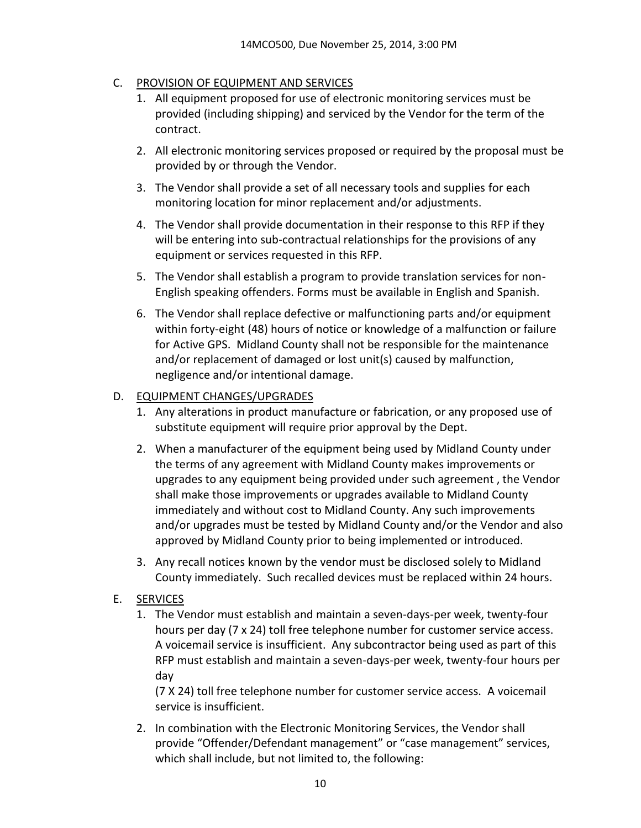### C. PROVISION OF EQUIPMENT AND SERVICES

- 1. All equipment proposed for use of electronic monitoring services must be provided (including shipping) and serviced by the Vendor for the term of the contract.
- 2. All electronic monitoring services proposed or required by the proposal must be provided by or through the Vendor.
- 3. The Vendor shall provide a set of all necessary tools and supplies for each monitoring location for minor replacement and/or adjustments.
- 4. The Vendor shall provide documentation in their response to this RFP if they will be entering into sub-contractual relationships for the provisions of any equipment or services requested in this RFP.
- 5. The Vendor shall establish a program to provide translation services for non-English speaking offenders. Forms must be available in English and Spanish.
- 6. The Vendor shall replace defective or malfunctioning parts and/or equipment within forty-eight (48) hours of notice or knowledge of a malfunction or failure for Active GPS. Midland County shall not be responsible for the maintenance and/or replacement of damaged or lost unit(s) caused by malfunction, negligence and/or intentional damage.

### D. EQUIPMENT CHANGES/UPGRADES

- 1. Any alterations in product manufacture or fabrication, or any proposed use of substitute equipment will require prior approval by the Dept.
- 2. When a manufacturer of the equipment being used by Midland County under the terms of any agreement with Midland County makes improvements or upgrades to any equipment being provided under such agreement , the Vendor shall make those improvements or upgrades available to Midland County immediately and without cost to Midland County. Any such improvements and/or upgrades must be tested by Midland County and/or the Vendor and also approved by Midland County prior to being implemented or introduced.
- 3. Any recall notices known by the vendor must be disclosed solely to Midland County immediately. Such recalled devices must be replaced within 24 hours.

### E. SERVICES

1. The Vendor must establish and maintain a seven-days-per week, twenty-four hours per day (7 x 24) toll free telephone number for customer service access. A voicemail service is insufficient. Any subcontractor being used as part of this RFP must establish and maintain a seven-days-per week, twenty-four hours per day

(7 X 24) toll free telephone number for customer service access. A voicemail service is insufficient.

2. In combination with the Electronic Monitoring Services, the Vendor shall provide "Offender/Defendant management" or "case management" services, which shall include, but not limited to, the following: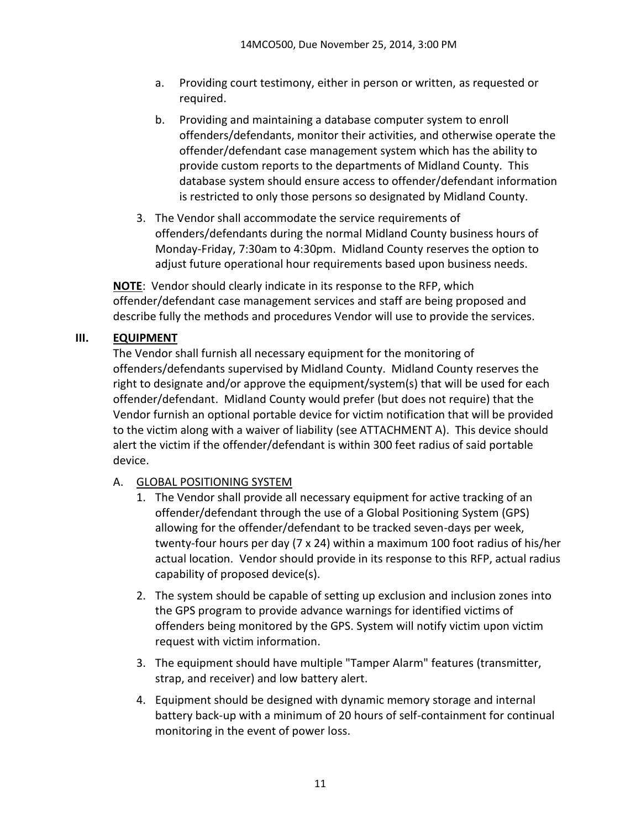- a. Providing court testimony, either in person or written, as requested or required.
- b. Providing and maintaining a database computer system to enroll offenders/defendants, monitor their activities, and otherwise operate the offender/defendant case management system which has the ability to provide custom reports to the departments of Midland County. This database system should ensure access to offender/defendant information is restricted to only those persons so designated by Midland County.
- 3. The Vendor shall accommodate the service requirements of offenders/defendants during the normal Midland County business hours of Monday-Friday, 7:30am to 4:30pm. Midland County reserves the option to adjust future operational hour requirements based upon business needs.

**NOTE**: Vendor should clearly indicate in its response to the RFP, which offender/defendant case management services and staff are being proposed and describe fully the methods and procedures Vendor will use to provide the services.

### **III. EQUIPMENT**

The Vendor shall furnish all necessary equipment for the monitoring of offenders/defendants supervised by Midland County. Midland County reserves the right to designate and/or approve the equipment/system(s) that will be used for each offender/defendant. Midland County would prefer (but does not require) that the Vendor furnish an optional portable device for victim notification that will be provided to the victim along with a waiver of liability (see ATTACHMENT A). This device should alert the victim if the offender/defendant is within 300 feet radius of said portable device.

### A. GLOBAL POSITIONING SYSTEM

- 1. The Vendor shall provide all necessary equipment for active tracking of an offender/defendant through the use of a Global Positioning System (GPS) allowing for the offender/defendant to be tracked seven-days per week, twenty-four hours per day (7 x 24) within a maximum 100 foot radius of his/her actual location. Vendor should provide in its response to this RFP, actual radius capability of proposed device(s).
- 2. The system should be capable of setting up exclusion and inclusion zones into the GPS program to provide advance warnings for identified victims of offenders being monitored by the GPS. System will notify victim upon victim request with victim information.
- 3. The equipment should have multiple "Tamper Alarm" features (transmitter, strap, and receiver) and low battery alert.
- 4. Equipment should be designed with dynamic memory storage and internal battery back-up with a minimum of 20 hours of self-containment for continual monitoring in the event of power loss.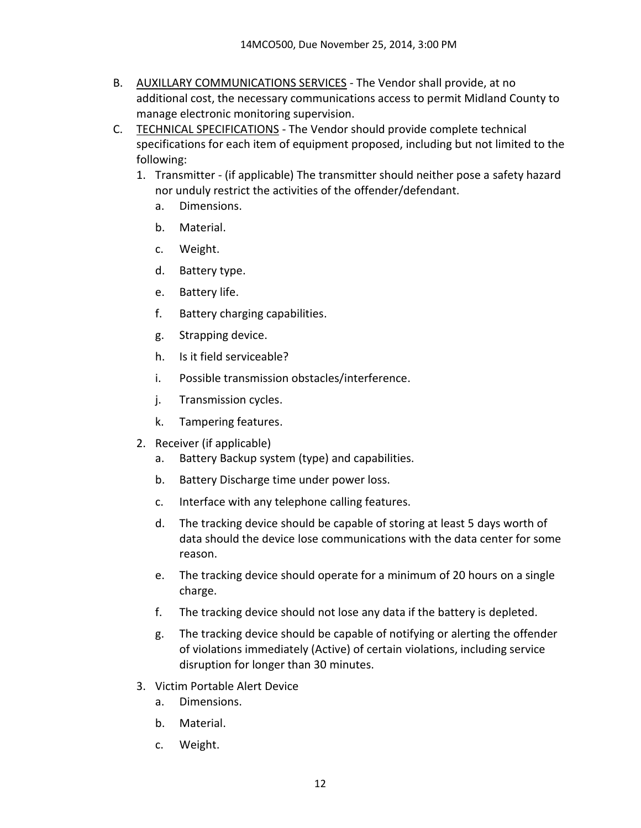- B. AUXILLARY COMMUNICATIONS SERVICES The Vendor shall provide, at no additional cost, the necessary communications access to permit Midland County to manage electronic monitoring supervision.
- C. TECHNICAL SPECIFICATIONS The Vendor should provide complete technical specifications for each item of equipment proposed, including but not limited to the following:
	- 1. Transmitter (if applicable) The transmitter should neither pose a safety hazard nor unduly restrict the activities of the offender/defendant.
		- a. Dimensions.
		- b. Material.
		- c. Weight.
		- d. Battery type.
		- e. Battery life.
		- f. Battery charging capabilities.
		- g. Strapping device.
		- h. Is it field serviceable?
		- i. Possible transmission obstacles/interference.
		- j. Transmission cycles.
		- k. Tampering features.
	- 2. Receiver (if applicable)
		- a. Battery Backup system (type) and capabilities.
		- b. Battery Discharge time under power loss.
		- c. Interface with any telephone calling features.
		- d. The tracking device should be capable of storing at least 5 days worth of data should the device lose communications with the data center for some reason.
		- e. The tracking device should operate for a minimum of 20 hours on a single charge.
		- f. The tracking device should not lose any data if the battery is depleted.
		- g. The tracking device should be capable of notifying or alerting the offender of violations immediately (Active) of certain violations, including service disruption for longer than 30 minutes.
	- 3. Victim Portable Alert Device
		- a. Dimensions.
		- b. Material.
		- c. Weight.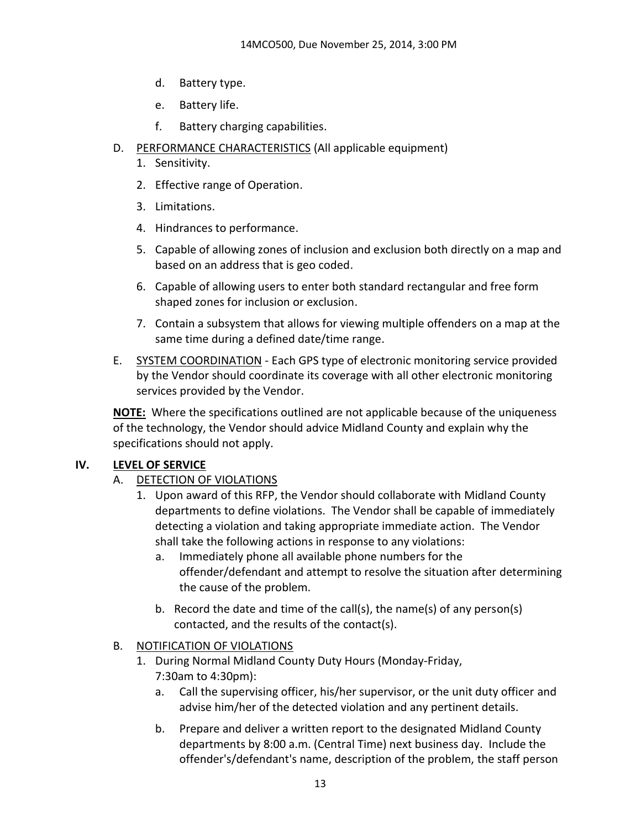- d. Battery type.
- e. Battery life.
- f. Battery charging capabilities.
- D. PERFORMANCE CHARACTERISTICS (All applicable equipment)
	- 1. Sensitivity.
	- 2. Effective range of Operation.
	- 3. Limitations.
	- 4. Hindrances to performance.
	- 5. Capable of allowing zones of inclusion and exclusion both directly on a map and based on an address that is geo coded.
	- 6. Capable of allowing users to enter both standard rectangular and free form shaped zones for inclusion or exclusion.
	- 7. Contain a subsystem that allows for viewing multiple offenders on a map at the same time during a defined date/time range.
- E. SYSTEM COORDINATION Each GPS type of electronic monitoring service provided by the Vendor should coordinate its coverage with all other electronic monitoring services provided by the Vendor.

**NOTE:** Where the specifications outlined are not applicable because of the uniqueness of the technology, the Vendor should advice Midland County and explain why the specifications should not apply.

### **IV. LEVEL OF SERVICE**

- A. DETECTION OF VIOLATIONS
	- 1. Upon award of this RFP, the Vendor should collaborate with Midland County departments to define violations. The Vendor shall be capable of immediately detecting a violation and taking appropriate immediate action. The Vendor shall take the following actions in response to any violations:
		- a. Immediately phone all available phone numbers for the offender/defendant and attempt to resolve the situation after determining the cause of the problem.
		- b. Record the date and time of the call(s), the name(s) of any person(s) contacted, and the results of the contact(s).

### B. NOTIFICATION OF VIOLATIONS

- 1. During Normal Midland County Duty Hours (Monday-Friday, 7:30am to 4:30pm):
	- a. Call the supervising officer, his/her supervisor, or the unit duty officer and advise him/her of the detected violation and any pertinent details.
	- b. Prepare and deliver a written report to the designated Midland County departments by 8:00 a.m. (Central Time) next business day. Include the offender's/defendant's name, description of the problem, the staff person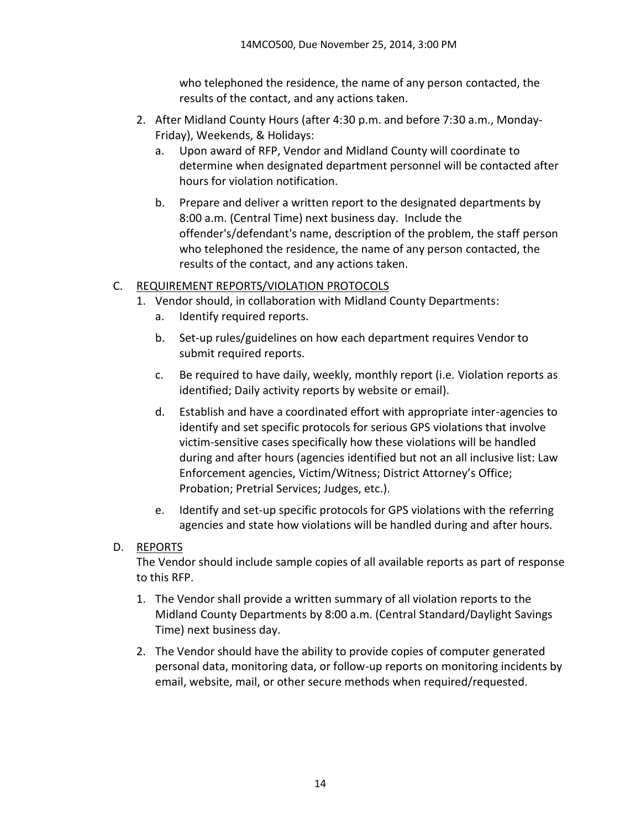who telephoned the residence, the name of any person contacted, the results of the contact, and any actions taken.

- 2. After Midland County Hours (after 4:30 p.m. and before 7:30 a.m., Monday-Friday), Weekends, & Holidays:
	- a. Upon award of RFP, Vendor and Midland County will coordinate to determine when designated department personnel will be contacted after hours for violation notification.
	- b. Prepare and deliver a written report to the designated departments by 8:00 a.m. (Central Time) next business day. Include the offender's/defendant's name, description of the problem, the staff person who telephoned the residence, the name of any person contacted, the results of the contact, and any actions taken.

### C. REQUIREMENT REPORTS/VIOLATION PROTOCOLS

- 1. Vendor should, in collaboration with Midland County Departments:
	- a. Identify required reports.
	- b. Set-up rules/guidelines on how each department requires Vendor to submit required reports.
	- c. Be required to have daily, weekly, monthly report (i.e. Violation reports as identified; Daily activity reports by website or email).
	- d. Establish and have a coordinated effort with appropriate inter-agencies to identify and set specific protocols for serious GPS violations that involve victim-sensitive cases specifically how these violations will be handled during and after hours (agencies identified but not an all inclusive list: Law Enforcement agencies, Victim/Witness; District Attorney's Office; Probation; Pretrial Services; Judges, etc.).
	- e. Identify and set-up specific protocols for GPS violations with the referring agencies and state how violations will be handled during and after hours.

### D. REPORTS

The Vendor should include sample copies of all available reports as part of response to this RFP.

- 1. The Vendor shall provide a written summary of all violation reports to the Midland County Departments by 8:00 a.m. (Central Standard/Daylight Savings Time) next business day.
- 2. The Vendor should have the ability to provide copies of computer generated personal data, monitoring data, or follow-up reports on monitoring incidents by email, website, mail, or other secure methods when required/requested.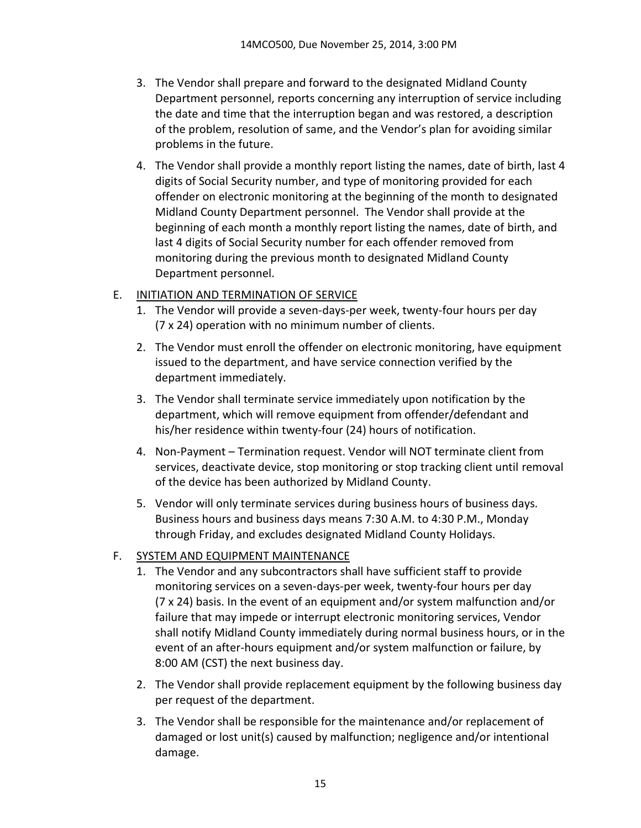- 3. The Vendor shall prepare and forward to the designated Midland County Department personnel, reports concerning any interruption of service including the date and time that the interruption began and was restored, a description of the problem, resolution of same, and the Vendor's plan for avoiding similar problems in the future.
- 4. The Vendor shall provide a monthly report listing the names, date of birth, last 4 digits of Social Security number, and type of monitoring provided for each offender on electronic monitoring at the beginning of the month to designated Midland County Department personnel. The Vendor shall provide at the beginning of each month a monthly report listing the names, date of birth, and last 4 digits of Social Security number for each offender removed from monitoring during the previous month to designated Midland County Department personnel.
- E. INITIATION AND TERMINATION OF SERVICE
	- 1. The Vendor will provide a seven-days-per week, twenty-four hours per day (7 x 24) operation with no minimum number of clients.
	- 2. The Vendor must enroll the offender on electronic monitoring, have equipment issued to the department, and have service connection verified by the department immediately.
	- 3. The Vendor shall terminate service immediately upon notification by the department, which will remove equipment from offender/defendant and his/her residence within twenty-four (24) hours of notification.
	- 4. Non-Payment Termination request. Vendor will NOT terminate client from services, deactivate device, stop monitoring or stop tracking client until removal of the device has been authorized by Midland County.
	- 5. Vendor will only terminate services during business hours of business days. Business hours and business days means 7:30 A.M. to 4:30 P.M., Monday through Friday, and excludes designated Midland County Holidays.

### F. SYSTEM AND EQUIPMENT MAINTENANCE

- 1. The Vendor and any subcontractors shall have sufficient staff to provide monitoring services on a seven-days-per week, twenty-four hours per day (7 x 24) basis. In the event of an equipment and/or system malfunction and/or failure that may impede or interrupt electronic monitoring services, Vendor shall notify Midland County immediately during normal business hours, or in the event of an after-hours equipment and/or system malfunction or failure, by 8:00 AM (CST) the next business day.
- 2. The Vendor shall provide replacement equipment by the following business day per request of the department.
- 3. The Vendor shall be responsible for the maintenance and/or replacement of damaged or lost unit(s) caused by malfunction; negligence and/or intentional damage.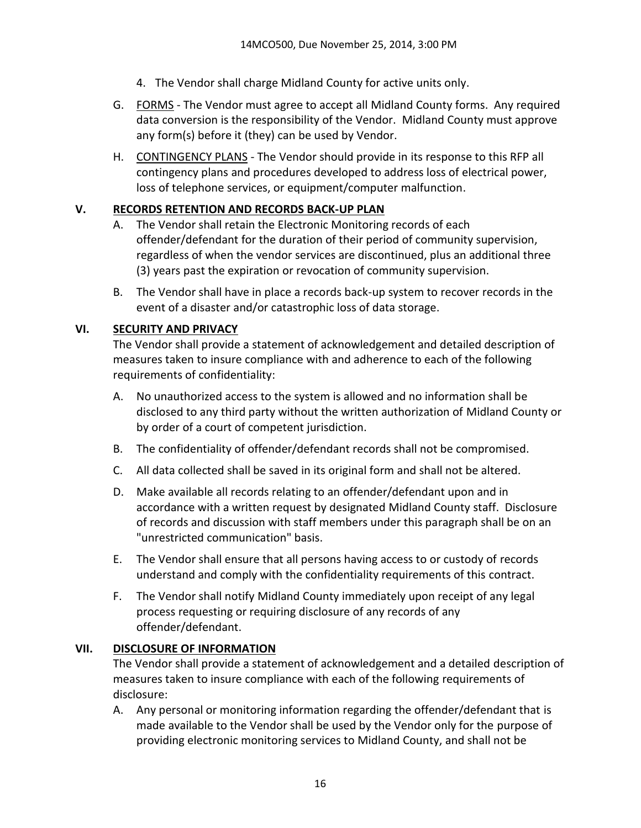- 4. The Vendor shall charge Midland County for active units only.
- G. FORMS The Vendor must agree to accept all Midland County forms. Any required data conversion is the responsibility of the Vendor. Midland County must approve any form(s) before it (they) can be used by Vendor.
- H. CONTINGENCY PLANS The Vendor should provide in its response to this RFP all contingency plans and procedures developed to address loss of electrical power, loss of telephone services, or equipment/computer malfunction.

### **V. RECORDS RETENTION AND RECORDS BACK-UP PLAN**

- A. The Vendor shall retain the Electronic Monitoring records of each offender/defendant for the duration of their period of community supervision, regardless of when the vendor services are discontinued, plus an additional three (3) years past the expiration or revocation of community supervision.
- B. The Vendor shall have in place a records back-up system to recover records in the event of a disaster and/or catastrophic loss of data storage.

### **VI. SECURITY AND PRIVACY**

The Vendor shall provide a statement of acknowledgement and detailed description of measures taken to insure compliance with and adherence to each of the following requirements of confidentiality:

- A. No unauthorized access to the system is allowed and no information shall be disclosed to any third party without the written authorization of Midland County or by order of a court of competent jurisdiction.
- B. The confidentiality of offender/defendant records shall not be compromised.
- C. All data collected shall be saved in its original form and shall not be altered.
- D. Make available all records relating to an offender/defendant upon and in accordance with a written request by designated Midland County staff. Disclosure of records and discussion with staff members under this paragraph shall be on an "unrestricted communication" basis.
- E. The Vendor shall ensure that all persons having access to or custody of records understand and comply with the confidentiality requirements of this contract.
- F. The Vendor shall notify Midland County immediately upon receipt of any legal process requesting or requiring disclosure of any records of any offender/defendant.

#### **VII. DISCLOSURE OF INFORMATION**

The Vendor shall provide a statement of acknowledgement and a detailed description of measures taken to insure compliance with each of the following requirements of disclosure:

A. Any personal or monitoring information regarding the offender/defendant that is made available to the Vendor shall be used by the Vendor only for the purpose of providing electronic monitoring services to Midland County, and shall not be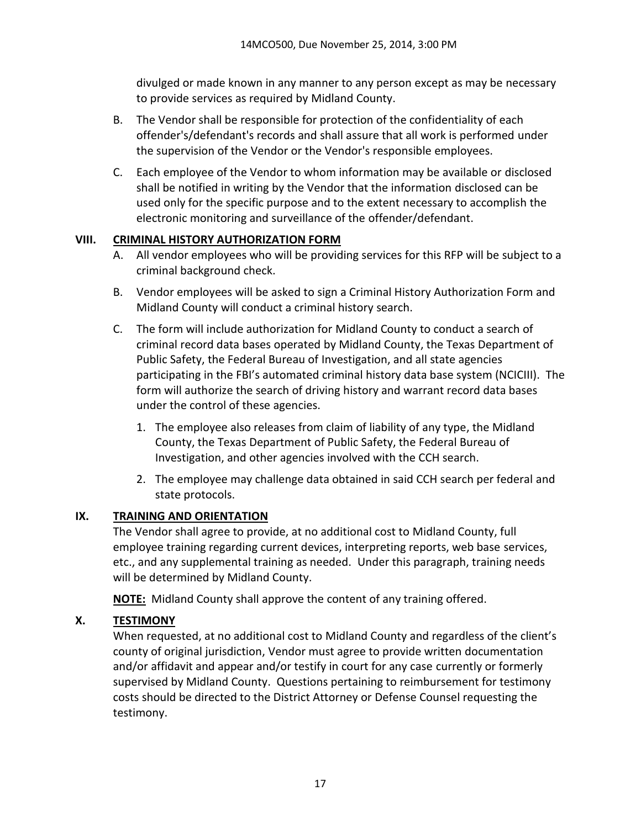divulged or made known in any manner to any person except as may be necessary to provide services as required by Midland County.

- B. The Vendor shall be responsible for protection of the confidentiality of each offender's/defendant's records and shall assure that all work is performed under the supervision of the Vendor or the Vendor's responsible employees.
- C. Each employee of the Vendor to whom information may be available or disclosed shall be notified in writing by the Vendor that the information disclosed can be used only for the specific purpose and to the extent necessary to accomplish the electronic monitoring and surveillance of the offender/defendant.

### **VIII. CRIMINAL HISTORY AUTHORIZATION FORM**

- A. All vendor employees who will be providing services for this RFP will be subject to a criminal background check.
- B. Vendor employees will be asked to sign a Criminal History Authorization Form and Midland County will conduct a criminal history search.
- C. The form will include authorization for Midland County to conduct a search of criminal record data bases operated by Midland County, the Texas Department of Public Safety, the Federal Bureau of Investigation, and all state agencies participating in the FBI's automated criminal history data base system (NCICIII). The form will authorize the search of driving history and warrant record data bases under the control of these agencies.
	- 1. The employee also releases from claim of liability of any type, the Midland County, the Texas Department of Public Safety, the Federal Bureau of Investigation, and other agencies involved with the CCH search.
	- 2. The employee may challenge data obtained in said CCH search per federal and state protocols.

# **IX. TRAINING AND ORIENTATION**

The Vendor shall agree to provide, at no additional cost to Midland County, full employee training regarding current devices, interpreting reports, web base services, etc., and any supplemental training as needed. Under this paragraph, training needs will be determined by Midland County.

**NOTE:** Midland County shall approve the content of any training offered.

# **X. TESTIMONY**

When requested, at no additional cost to Midland County and regardless of the client's county of original jurisdiction, Vendor must agree to provide written documentation and/or affidavit and appear and/or testify in court for any case currently or formerly supervised by Midland County. Questions pertaining to reimbursement for testimony costs should be directed to the District Attorney or Defense Counsel requesting the testimony.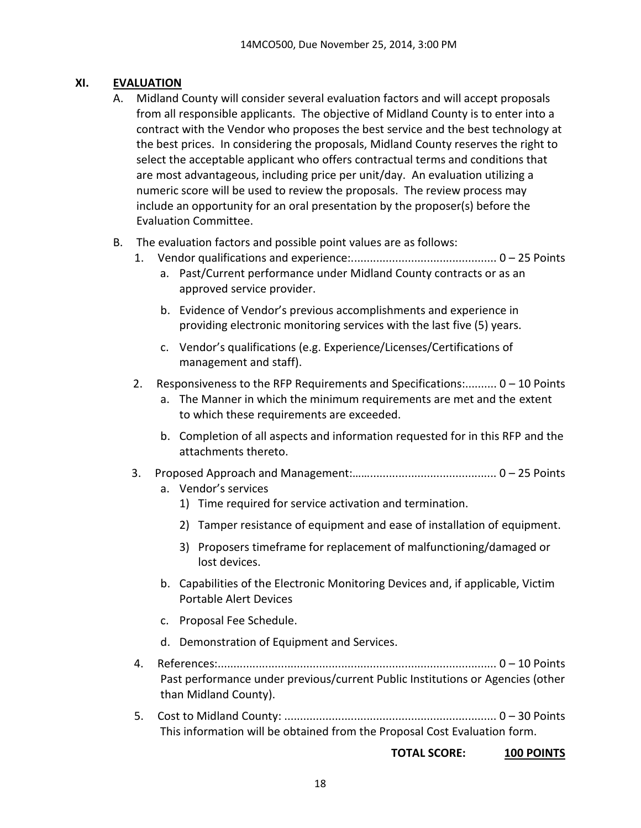### **XI. EVALUATION**

- A. Midland County will consider several evaluation factors and will accept proposals from all responsible applicants. The objective of Midland County is to enter into a contract with the Vendor who proposes the best service and the best technology at the best prices. In considering the proposals, Midland County reserves the right to select the acceptable applicant who offers contractual terms and conditions that are most advantageous, including price per unit/day. An evaluation utilizing a numeric score will be used to review the proposals. The review process may include an opportunity for an oral presentation by the proposer(s) before the Evaluation Committee.
- B. The evaluation factors and possible point values are as follows:
	- 1. Vendor qualifications and experience:.............................................. 0 25 Points
		- a. Past/Current performance under Midland County contracts or as an approved service provider.
		- b. Evidence of Vendor's previous accomplishments and experience in providing electronic monitoring services with the last five (5) years.
		- c. Vendor's qualifications (e.g. Experience/Licenses/Certifications of management and staff).
	- 2. Responsiveness to the RFP Requirements and Specifications:.......... 0 10 Points
		- a. The Manner in which the minimum requirements are met and the extent to which these requirements are exceeded.
		- b. Completion of all aspects and information requested for in this RFP and the attachments thereto.
	- 3. Proposed Approach and Management:……........................................ 0 25 Points
		- a. Vendor's services
			- 1) Time required for service activation and termination.
			- 2) Tamper resistance of equipment and ease of installation of equipment.
			- 3) Proposers timeframe for replacement of malfunctioning/damaged or lost devices.
		- b. Capabilities of the Electronic Monitoring Devices and, if applicable, Victim Portable Alert Devices
		- c. Proposal Fee Schedule.
		- d. Demonstration of Equipment and Services.
	- 4. References:........................................................................................ 0 10 Points Past performance under previous/current Public Institutions or Agencies (other than Midland County).
	- 5. Cost to Midland County: ................................................................... 0 30 Points This information will be obtained from the Proposal Cost Evaluation form.

#### **TOTAL SCORE: 100 POINTS**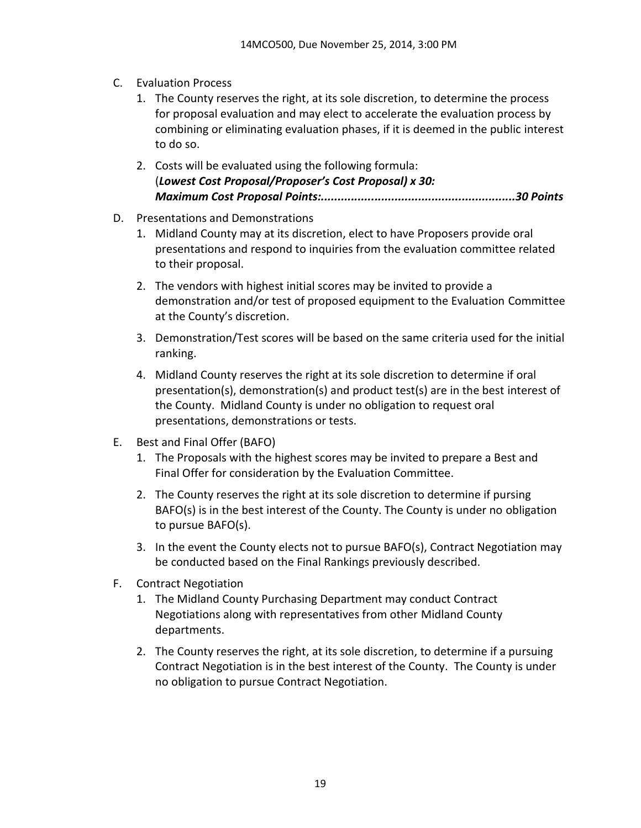- C. Evaluation Process
	- 1. The County reserves the right, at its sole discretion, to determine the process for proposal evaluation and may elect to accelerate the evaluation process by combining or eliminating evaluation phases, if it is deemed in the public interest to do so.
	- 2. Costs will be evaluated using the following formula: (*Lowest Cost Proposal/Proposer's Cost Proposal) x 30: Maximum Cost Proposal Points:..........................................................30 Points*
- D. Presentations and Demonstrations
	- 1. Midland County may at its discretion, elect to have Proposers provide oral presentations and respond to inquiries from the evaluation committee related to their proposal.
	- 2. The vendors with highest initial scores may be invited to provide a demonstration and/or test of proposed equipment to the Evaluation Committee at the County's discretion.
	- 3. Demonstration/Test scores will be based on the same criteria used for the initial ranking.
	- 4. Midland County reserves the right at its sole discretion to determine if oral presentation(s), demonstration(s) and product test(s) are in the best interest of the County. Midland County is under no obligation to request oral presentations, demonstrations or tests.
- E. Best and Final Offer (BAFO)
	- 1. The Proposals with the highest scores may be invited to prepare a Best and Final Offer for consideration by the Evaluation Committee.
	- 2. The County reserves the right at its sole discretion to determine if pursing BAFO(s) is in the best interest of the County. The County is under no obligation to pursue BAFO(s).
	- 3. In the event the County elects not to pursue BAFO(s), Contract Negotiation may be conducted based on the Final Rankings previously described.
- F. Contract Negotiation
	- 1. The Midland County Purchasing Department may conduct Contract Negotiations along with representatives from other Midland County departments.
	- 2. The County reserves the right, at its sole discretion, to determine if a pursuing Contract Negotiation is in the best interest of the County. The County is under no obligation to pursue Contract Negotiation.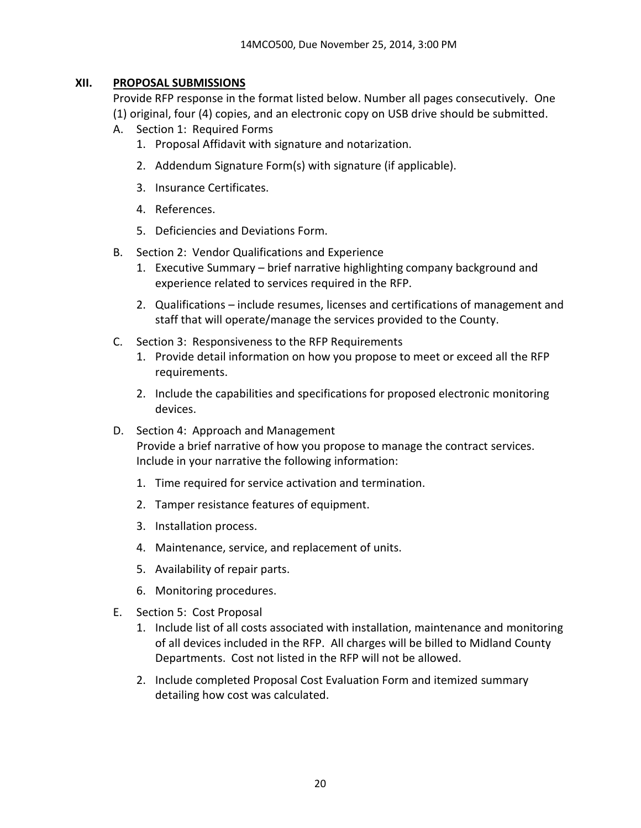### **XII. PROPOSAL SUBMISSIONS**

Provide RFP response in the format listed below. Number all pages consecutively. One (1) original, four (4) copies, and an electronic copy on USB drive should be submitted.

- A. Section 1: Required Forms
	- 1. Proposal Affidavit with signature and notarization.
	- 2. Addendum Signature Form(s) with signature (if applicable).
	- 3. Insurance Certificates.
	- 4. References.
	- 5. Deficiencies and Deviations Form.
- B. Section 2: Vendor Qualifications and Experience
	- 1. Executive Summary brief narrative highlighting company background and experience related to services required in the RFP.
	- 2. Qualifications include resumes, licenses and certifications of management and staff that will operate/manage the services provided to the County.
- C. Section 3: Responsiveness to the RFP Requirements
	- 1. Provide detail information on how you propose to meet or exceed all the RFP requirements.
	- 2. Include the capabilities and specifications for proposed electronic monitoring devices.
- D. Section 4: Approach and Management Provide a brief narrative of how you propose to manage the contract services. Include in your narrative the following information:
	- 1. Time required for service activation and termination.
	- 2. Tamper resistance features of equipment.
	- 3. Installation process.
	- 4. Maintenance, service, and replacement of units.
	- 5. Availability of repair parts.
	- 6. Monitoring procedures.
- E. Section 5: Cost Proposal
	- 1. Include list of all costs associated with installation, maintenance and monitoring of all devices included in the RFP. All charges will be billed to Midland County Departments. Cost not listed in the RFP will not be allowed.
	- 2. Include completed Proposal Cost Evaluation Form and itemized summary detailing how cost was calculated.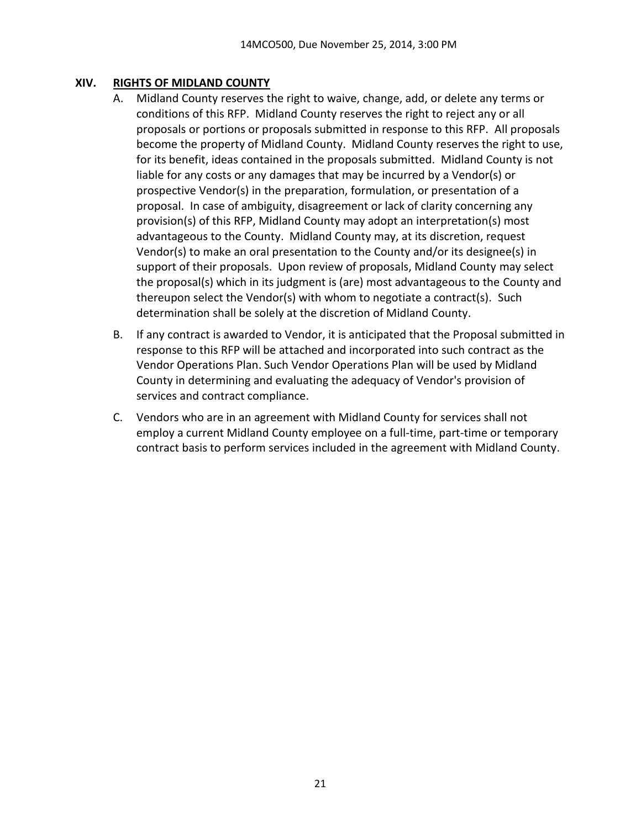### **XIV. RIGHTS OF MIDLAND COUNTY**

- A. Midland County reserves the right to waive, change, add, or delete any terms or conditions of this RFP. Midland County reserves the right to reject any or all proposals or portions or proposals submitted in response to this RFP. All proposals become the property of Midland County. Midland County reserves the right to use, for its benefit, ideas contained in the proposals submitted. Midland County is not liable for any costs or any damages that may be incurred by a Vendor(s) or prospective Vendor(s) in the preparation, formulation, or presentation of a proposal. In case of ambiguity, disagreement or lack of clarity concerning any provision(s) of this RFP, Midland County may adopt an interpretation(s) most advantageous to the County. Midland County may, at its discretion, request Vendor(s) to make an oral presentation to the County and/or its designee(s) in support of their proposals. Upon review of proposals, Midland County may select the proposal(s) which in its judgment is (are) most advantageous to the County and thereupon select the Vendor(s) with whom to negotiate a contract(s). Such determination shall be solely at the discretion of Midland County.
- B. If any contract is awarded to Vendor, it is anticipated that the Proposal submitted in response to this RFP will be attached and incorporated into such contract as the Vendor Operations Plan. Such Vendor Operations Plan will be used by Midland County in determining and evaluating the adequacy of Vendor's provision of services and contract compliance.
- C. Vendors who are in an agreement with Midland County for services shall not employ a current Midland County employee on a full-time, part-time or temporary contract basis to perform services included in the agreement with Midland County.